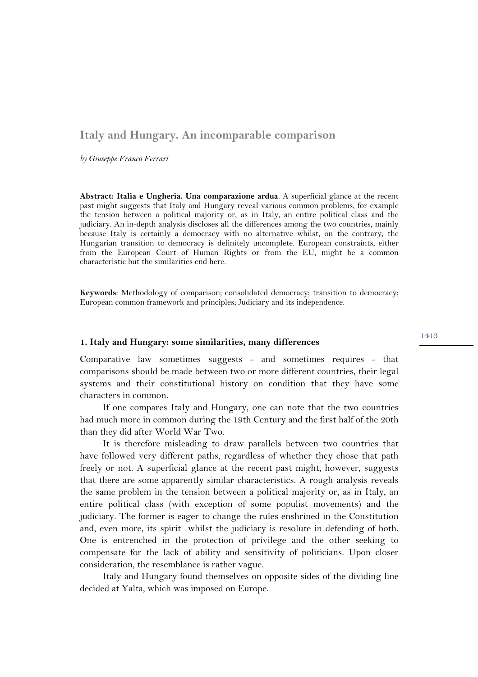# **Italy and Hungary. An incomparable comparison**

*by Giuseppe Franco Ferrari*

**Abstract: Italia e Ungheria. Una comparazione ardua**. A superficial glance at the recent past might suggests that Italy and Hungary reveal various common problems, for example the tension between a political majority or, as in Italy, an entire political class and the judiciary. An in-depth analysis discloses all the differences among the two countries, mainly because Italy is certainly a democracy with no alternative whilst, on the contrary, the Hungarian transition to democracy is definitely uncomplete. European constraints, either from the European Court of Human Rights or from the EU, might be a common characteristic but the similarities end here.

**Keywords**: Methodology of comparison; consolidated democracy; transition to democracy; European common framework and principles; Judiciary and its independence.

#### **1. Italy and Hungary: some similarities, many differences**

Comparative law sometimes suggests - and sometimes requires - that comparisons should be made between two or more different countries, their legal systems and their constitutional history on condition that they have some characters in common.

If one compares Italy and Hungary, one can note that the two countries had much more in common during the 19th Century and the first half of the 20th than they did after World War Two.

It is therefore misleading to draw parallels between two countries that have followed very different paths, regardless of whether they chose that path freely or not. A superficial glance at the recent past might, however, suggests that there are some apparently similar characteristics. A rough analysis reveals the same problem in the tension between a political majority or, as in Italy, an entire political class (with exception of some populist movements) and the judiciary. The former is eager to change the rules enshrined in the Constitution and, even more, its spirit whilst the judiciary is resolute in defending of both. One is entrenched in the protection of privilege and the other seeking to compensate for the lack of ability and sensitivity of politicians. Upon closer consideration, the resemblance is rather vague.

Italy and Hungary found themselves on opposite sides of the dividing line decided at Yalta, which was imposed on Europe.

1443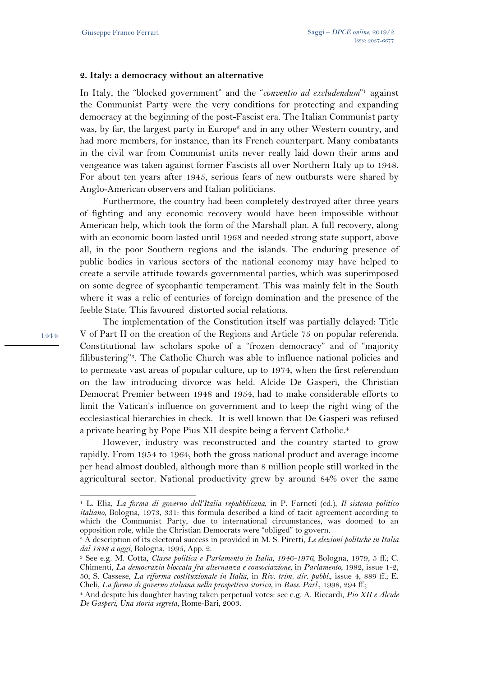#### **2. Italy: a democracy without an alternative**

In Italy, the "blocked government" and the "*conventio ad excludendum*"1 against the Communist Party were the very conditions for protecting and expanding democracy at the beginning of the post-Fascist era. The Italian Communist party was, by far, the largest party in Europe<sup>2</sup> and in any other Western country, and had more members, for instance, than its French counterpart. Many combatants in the civil war from Communist units never really laid down their arms and vengeance was taken against former Fascists all over Northern Italy up to 1948. For about ten years after 1945, serious fears of new outbursts were shared by Anglo-American observers and Italian politicians.

Furthermore, the country had been completely destroyed after three years of fighting and any economic recovery would have been impossible without American help, which took the form of the Marshall plan. A full recovery, along with an economic boom lasted until 1968 and needed strong state support, above all, in the poor Southern regions and the islands. The enduring presence of public bodies in various sectors of the national economy may have helped to create a servile attitude towards governmental parties, which was superimposed on some degree of sycophantic temperament. This was mainly felt in the South where it was a relic of centuries of foreign domination and the presence of the feeble State. This favoured distorted social relations.

The implementation of the Constitution itself was partially delayed: Title V of Part II on the creation of the Regions and Article 75 on popular referenda. Constitutional law scholars spoke of a "frozen democracy" and of "majority filibustering"3. The Catholic Church was able to influence national policies and to permeate vast areas of popular culture, up to 1974, when the first referendum on the law introducing divorce was held. Alcide De Gasperi, the Christian Democrat Premier between 1948 and 1954, had to make considerable efforts to limit the Vatican's influence on government and to keep the right wing of the ecclesiastical hierarchies in check. It is well known that De Gasperi was refused a private hearing by Pope Pius XII despite being a fervent Catholic.<sup>4</sup>

However, industry was reconstructed and the country started to grow rapidly. From 1954 to 1964, both the gross national product and average income per head almost doubled, although more than 8 million people still worked in the agricultural sector. National productivity grew by around 84% over the same

1444

 $\overline{a}$ 

<sup>1</sup> L. Elia, *La forma di governo dell'Italia repubblicana*, in P. Farneti (ed.), *Il sistema politico italiano*, Bologna, 1973, 331: this formula described a kind of tacit agreement according to which the Communist Party, due to international circumstances, was doomed to an opposition role, while the Christian Democrats were "obliged" to govern.

<sup>2</sup> A description of its electoral success in provided in M. S. Piretti, *Le elezioni politiche in Italia dal 1848 a oggi*, Bologna, 1995, App. 2. 3 See e.g. M. Cotta, *Classe politica e Parlamento in Italia, 1946-1976,* Bologna, 1979, 5 ff.; C.

Chimenti, *La democrazia bloccata fra alternanza e consociazione*, in *Parlamento*, 1982, issue 1-2, 50; S. Cassese, *La riforma costituzionale in Italia*, in *Riv. trim. dir. pubbl.*, issue 4, 889 ff.; E.

Cheli, *La forma di governo italiana nella prospettiva storica*, in *Rass. Parl.*, 1998, 294 ff.; 4 And despite his daughter having taken perpetual votes: see e.g. A. Riccardi, *Pio XII e Alcide De Gasperi, Una storia segreta*, Rome-Bari, 2003.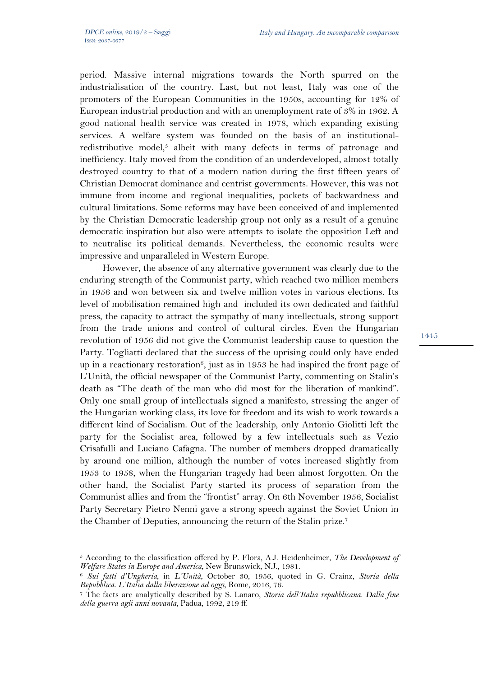period. Massive internal migrations towards the North spurred on the industrialisation of the country. Last, but not least, Italy was one of the promoters of the European Communities in the 1950s, accounting for 12% of European industrial production and with an unemployment rate of 3% in 1962. A good national health service was created in 1978, which expanding existing services. A welfare system was founded on the basis of an institutionalredistributive model,<sup>5</sup> albeit with many defects in terms of patronage and inefficiency. Italy moved from the condition of an underdeveloped, almost totally destroyed country to that of a modern nation during the first fifteen years of Christian Democrat dominance and centrist governments. However, this was not immune from income and regional inequalities, pockets of backwardness and cultural limitations. Some reforms may have been conceived of and implemented by the Christian Democratic leadership group not only as a result of a genuine democratic inspiration but also were attempts to isolate the opposition Left and to neutralise its political demands. Nevertheless, the economic results were impressive and unparalleled in Western Europe.

However, the absence of any alternative government was clearly due to the enduring strength of the Communist party, which reached two million members in 1956 and won between six and twelve million votes in various elections. Its level of mobilisation remained high and included its own dedicated and faithful press, the capacity to attract the sympathy of many intellectuals, strong support from the trade unions and control of cultural circles. Even the Hungarian revolution of 1956 did not give the Communist leadership cause to question the Party. Togliatti declared that the success of the uprising could only have ended up in a reactionary restoration<sup>6</sup>, just as in 1953 he had inspired the front page of L'Unità, the official newspaper of the Communist Party, commenting on Stalin's death as "The death of the man who did most for the liberation of mankind". Only one small group of intellectuals signed a manifesto, stressing the anger of the Hungarian working class, its love for freedom and its wish to work towards a different kind of Socialism. Out of the leadership, only Antonio Giolitti left the party for the Socialist area, followed by a few intellectuals such as Vezio Crisafulli and Luciano Cafagna. The number of members dropped dramatically by around one million, although the number of votes increased slightly from 1953 to 1958, when the Hungarian tragedy had been almost forgotten. On the other hand, the Socialist Party started its process of separation from the Communist allies and from the "frontist" array. On 6th November 1956, Socialist Party Secretary Pietro Nenni gave a strong speech against the Soviet Union in the Chamber of Deputies, announcing the return of the Stalin prize.7

 $\overline{a}$ <sup>5</sup> According to the classification offered by P. Flora, A.J. Heidenheimer, *The Development of* 

*Welfare States in Europe and America*, New Brunswick, N.J., 1981. 6 *Sui fatti d'Ungheria*, in *L'Unità*, October 30, 1956, quoted in G. Crainz, *Storia della* 

*Repubblica. L'Italia dalla liberazione ad oggi*, Rome, 2016, 76. 7 The facts are analytically described by S. Lanaro, *Storia dell'Italia repubblicana. Dalla fine della guerra agli anni novanta*, Padua, 1992, 219 ff.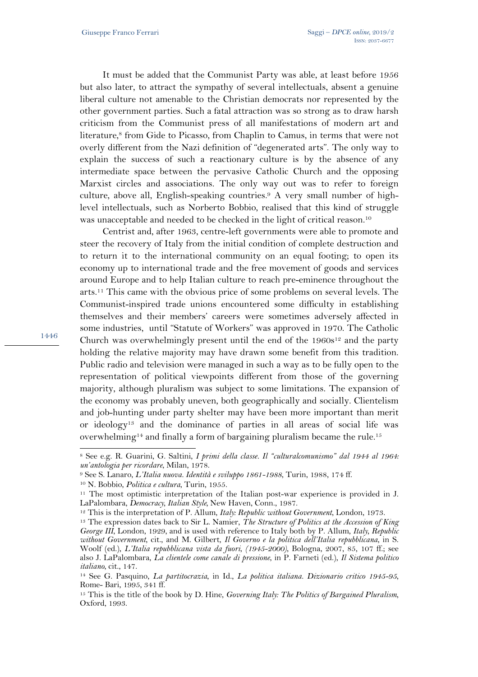It must be added that the Communist Party was able, at least before 1956 but also later, to attract the sympathy of several intellectuals, absent a genuine liberal culture not amenable to the Christian democrats nor represented by the other government parties. Such a fatal attraction was so strong as to draw harsh criticism from the Communist press of all manifestations of modern art and literature,<sup>8</sup> from Gide to Picasso, from Chaplin to Camus, in terms that were not overly different from the Nazi definition of "degenerated arts". The only way to explain the success of such a reactionary culture is by the absence of any intermediate space between the pervasive Catholic Church and the opposing Marxist circles and associations. The only way out was to refer to foreign culture, above all, English-speaking countries.9 A very small number of highlevel intellectuals, such as Norberto Bobbio, realised that this kind of struggle was unacceptable and needed to be checked in the light of critical reason.10

Centrist and, after 1963, centre-left governments were able to promote and steer the recovery of Italy from the initial condition of complete destruction and to return it to the international community on an equal footing; to open its economy up to international trade and the free movement of goods and services around Europe and to help Italian culture to reach pre-eminence throughout the arts.11 This came with the obvious price of some problems on several levels. The Communist-inspired trade unions encountered some difficulty in establishing themselves and their members' careers were sometimes adversely affected in some industries, until "Statute of Workers" was approved in 1970. The Catholic Church was overwhelmingly present until the end of the  $1960s^{12}$  and the party holding the relative majority may have drawn some benefit from this tradition. Public radio and television were managed in such a way as to be fully open to the representation of political viewpoints different from those of the governing majority, although pluralism was subject to some limitations. The expansion of the economy was probably uneven, both geographically and socially. Clientelism and job-hunting under party shelter may have been more important than merit or ideology13 and the dominance of parties in all areas of social life was overwhelming<sup>14</sup> and finally a form of bargaining pluralism became the rule.<sup>15</sup>

1446

l

<sup>8</sup> See e.g. R. Guarini, G. Saltini, *I primi della classe. Il "culturalcomunismo" dal 1944 al 1964:*  un'antologia per ricordare, Milan, 1978.<br><sup>9</sup> See S. Lanaro, *L'Italia nuova. Identità e sviluppo 1861-1988*, Turin, 1988, 174 ff.<br><sup>10</sup> N. Bobbio, *Politica e cultura*, Turin, 1955.<br><sup>11</sup> The most optimistic interpretation o

LaPalombara, *Democracy*, *Italian Style*, New Haven, Conn., 1987.<br><sup>12</sup> This is the interpretation of P. Allum, *Italy: Republic without Government*, London, 1973.<br><sup>13</sup> The expression dates back to Sir L. Namier, *The Stru George III*, London, 1929, and is used with reference to Italy both by P. Allum, *Italy, Republic without Government*, cit., and M. Gilbert, *Il Governo e la politica dell'Italia repubblicana*, in S. Woolf (ed.), *L'Italia repubblicana vista da fuori*, *(1945-2000)*, Bologna, 2007, 85, 107 ff.; see also J. LaPalombara, *La clientele come canale di pressione*, in P. Farneti (ed.), *Il Sistema politico italiano*, cit., 147.

<sup>14</sup> See G. Pasquino, *La partitocrazia*, in Id., *La politica italiana. Dizionario critico 1945-95*, Rome- Bari, 1995, 341 ff.

<sup>15</sup> This is the title of the book by D. Hine, *Governing Italy: The Politics of Bargained Pluralism*, Oxford, 1993.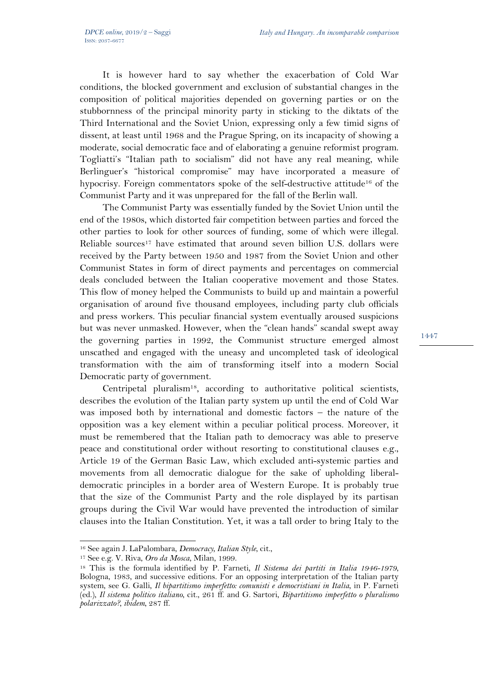It is however hard to say whether the exacerbation of Cold War conditions, the blocked government and exclusion of substantial changes in the composition of political majorities depended on governing parties or on the stubbornness of the principal minority party in sticking to the diktats of the Third International and the Soviet Union, expressing only a few timid signs of dissent, at least until 1968 and the Prague Spring, on its incapacity of showing a moderate, social democratic face and of elaborating a genuine reformist program. Togliatti's "Italian path to socialism" did not have any real meaning, while Berlinguer's "historical compromise" may have incorporated a measure of hypocrisy. Foreign commentators spoke of the self-destructive attitude16 of the Communist Party and it was unprepared for the fall of the Berlin wall.

The Communist Party was essentially funded by the Soviet Union until the end of the 1980s, which distorted fair competition between parties and forced the other parties to look for other sources of funding, some of which were illegal. Reliable sources<sup>17</sup> have estimated that around seven billion U.S. dollars were received by the Party between 1950 and 1987 from the Soviet Union and other Communist States in form of direct payments and percentages on commercial deals concluded between the Italian cooperative movement and those States. This flow of money helped the Communists to build up and maintain a powerful organisation of around five thousand employees, including party club officials and press workers. This peculiar financial system eventually aroused suspicions but was never unmasked. However, when the "clean hands" scandal swept away the governing parties in 1992, the Communist structure emerged almost unscathed and engaged with the uneasy and uncompleted task of ideological transformation with the aim of transforming itself into a modern Social Democratic party of government.

Centripetal pluralism<sup>18</sup>, according to authoritative political scientists, describes the evolution of the Italian party system up until the end of Cold War was imposed both by international and domestic factors – the nature of the opposition was a key element within a peculiar political process. Moreover, it must be remembered that the Italian path to democracy was able to preserve peace and constitutional order without resorting to constitutional clauses e.g., Article 19 of the German Basic Law, which excluded anti-systemic parties and movements from all democratic dialogue for the sake of upholding liberaldemocratic principles in a border area of Western Europe. It is probably true that the size of the Communist Party and the role displayed by its partisan groups during the Civil War would have prevented the introduction of similar clauses into the Italian Constitution. Yet, it was a tall order to bring Italy to the

 $\overline{a}$ 

<sup>16</sup> See again J. LaPalombara, *Democracy, Italian Style*, cit., 17 See e.g. V. Riva, *Oro da Mosca*, Milan, 1999. 18 This is the formula identified by P. Farneti, *Il Sistema dei partiti in Italia 1946-1979*, Bologna, 1983, and successive editions. For an opposing interpretation of the Italian party system, see G. Galli, *Il bipartitismo imperfetto: comunisti e democristiani in Italia*, in P. Farneti (ed.), *Il sistema politico italiano*, cit., 261 ff. and G. Sartori, *Bipartitismo imperfetto o pluralismo polarizzato?*, *ibidem*, 287 ff.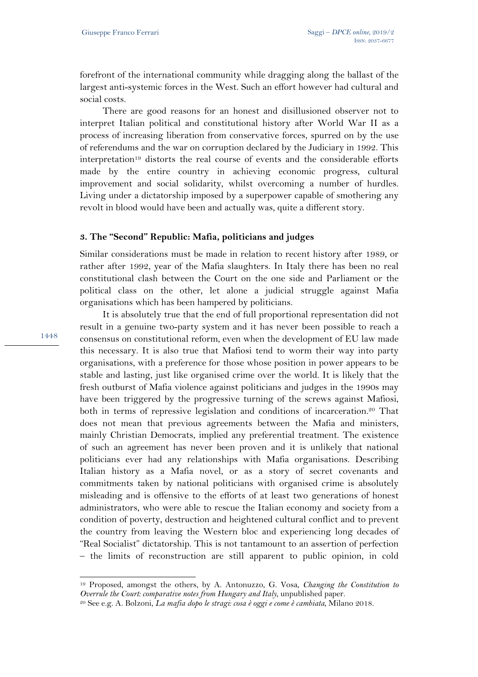forefront of the international community while dragging along the ballast of the largest anti-systemic forces in the West. Such an effort however had cultural and social costs.

There are good reasons for an honest and disillusioned observer not to interpret Italian political and constitutional history after World War II as a process of increasing liberation from conservative forces, spurred on by the use of referendums and the war on corruption declared by the Judiciary in 1992. This interpretation19 distorts the real course of events and the considerable efforts made by the entire country in achieving economic progress, cultural improvement and social solidarity, whilst overcoming a number of hurdles. Living under a dictatorship imposed by a superpower capable of smothering any revolt in blood would have been and actually was, quite a different story.

### **3. The "Second" Republic: Mafia, politicians and judges**

Similar considerations must be made in relation to recent history after 1989, or rather after 1992, year of the Mafia slaughters. In Italy there has been no real constitutional clash between the Court on the one side and Parliament or the political class on the other, let alone a judicial struggle against Mafia organisations which has been hampered by politicians.

It is absolutely true that the end of full proportional representation did not result in a genuine two-party system and it has never been possible to reach a consensus on constitutional reform, even when the development of EU law made this necessary. It is also true that Mafiosi tend to worm their way into party organisations, with a preference for those whose position in power appears to be stable and lasting, just like organised crime over the world. It is likely that the fresh outburst of Mafia violence against politicians and judges in the 1990s may have been triggered by the progressive turning of the screws against Mafiosi, both in terms of repressive legislation and conditions of incarceration.20 That does not mean that previous agreements between the Mafia and ministers, mainly Christian Democrats, implied any preferential treatment. The existence of such an agreement has never been proven and it is unlikely that national politicians ever had any relationships with Mafia organisations. Describing Italian history as a Mafia novel, or as a story of secret covenants and commitments taken by national politicians with organised crime is absolutely misleading and is offensive to the efforts of at least two generations of honest administrators, who were able to rescue the Italian economy and society from a condition of poverty, destruction and heightened cultural conflict and to prevent the country from leaving the Western bloc and experiencing long decades of "Real Socialist" dictatorship. This is not tantamount to an assertion of perfection – the limits of reconstruction are still apparent to public opinion, in cold

1448

l

<sup>19</sup> Proposed, amongst the others, by A. Antonuzzo, G. Vosa, *Changing the Constitution to Overrule the Court: comparative notes from Hungary and Italy*, unpublished paper.

<sup>20</sup> See e.g. A. Bolzoni, *La mafia dopo le stragi: cosa è oggi e come è cambiata*, Milano 2018.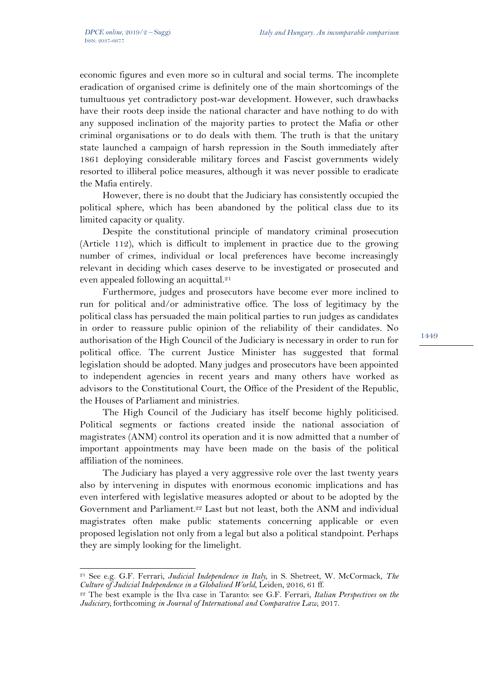$\overline{a}$ 

economic figures and even more so in cultural and social terms. The incomplete eradication of organised crime is definitely one of the main shortcomings of the tumultuous yet contradictory post-war development. However, such drawbacks have their roots deep inside the national character and have nothing to do with any supposed inclination of the majority parties to protect the Mafia or other criminal organisations or to do deals with them. The truth is that the unitary state launched a campaign of harsh repression in the South immediately after 1861 deploying considerable military forces and Fascist governments widely resorted to illiberal police measures, although it was never possible to eradicate the Mafia entirely.

However, there is no doubt that the Judiciary has consistently occupied the political sphere, which has been abandoned by the political class due to its limited capacity or quality.

Despite the constitutional principle of mandatory criminal prosecution (Article 112), which is difficult to implement in practice due to the growing number of crimes, individual or local preferences have become increasingly relevant in deciding which cases deserve to be investigated or prosecuted and even appealed following an acquittal.<sup>21</sup>

Furthermore, judges and prosecutors have become ever more inclined to run for political and/or administrative office. The loss of legitimacy by the political class has persuaded the main political parties to run judges as candidates in order to reassure public opinion of the reliability of their candidates. No authorisation of the High Council of the Judiciary is necessary in order to run for political office. The current Justice Minister has suggested that formal legislation should be adopted. Many judges and prosecutors have been appointed to independent agencies in recent years and many others have worked as advisors to the Constitutional Court, the Office of the President of the Republic, the Houses of Parliament and ministries.

The High Council of the Judiciary has itself become highly politicised. Political segments or factions created inside the national association of magistrates (ANM) control its operation and it is now admitted that a number of important appointments may have been made on the basis of the political affiliation of the nominees.

The Judiciary has played a very aggressive role over the last twenty years also by intervening in disputes with enormous economic implications and has even interfered with legislative measures adopted or about to be adopted by the Government and Parliament.<sup>22</sup> Last but not least, both the ANM and individual magistrates often make public statements concerning applicable or even proposed legislation not only from a legal but also a political standpoint. Perhaps they are simply looking for the limelight.

<sup>&</sup>lt;sup>21</sup> See e.g. G.F. Ferrari, *Judicial Independence in Italy*, in S. Shetreet, W. McCormack, *The Culture of Judicial Independence in a Globalised World*, Leiden, 2016, 61 ff.

<sup>&</sup>lt;sup>22</sup> The best example is the Ilva case in Taranto: see G.F. Ferrari, *Italian Perspectives on the Judiciary,* forthcoming *in Journal of International and Comparative Law*, 2017.